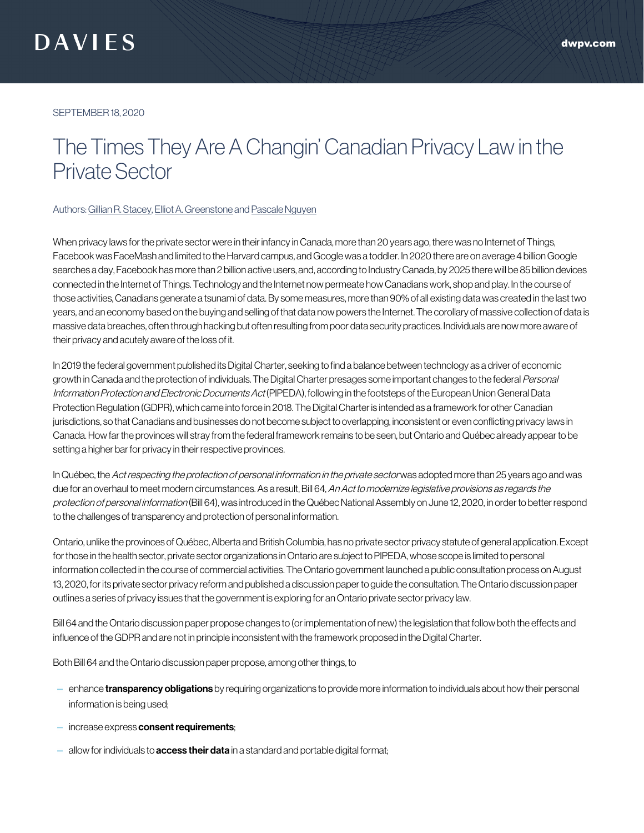SEPTEMBER 18, 2020

## The Times They Are A Changin' Canadian Privacy Law in the Private Sector

## Authors: [Gillian R. Stacey](https://www.dwpv.com/en/People/Gillian-R-Stacey), [Elliot A. Greenstone](https://www.dwpv.com/en/People/Elliot-A-Greenstone) and [Pascale Nguyen](https://www.dwpv.com/en/People/Pascale-Nguyen)

When privacy laws for the private sector were in their infancy in Canada, more than 20 years ago, there was no Internet of Things, Facebook was FaceMash and limited to the Harvard campus, and Google was a toddler. In 2020 there are on average 4 billion Google searches a day, Facebook has more than 2 billion active users, and, according to Industry Canada, by 2025 there will be 85 billion devices connected in the Internet of Things. Technology and the Internet now permeate how Canadians work, shop and play. In the course of those activities, Canadians generate a tsunami of data. By some measures, more than 90% of all existing data was created in the last two years, and an economy based on the buying and selling of that data now powers the Internet. The corollary of massive collection of data is massive data breaches, often through hacking but often resulting from poor data security practices. Individuals are now more aware of their privacy and acutely aware of the loss of it.

In 2019 the federal government published its Digital Charter, seeking to find a balance between technology as a driver of economic growth in Canada and the protection of individuals. The Digital Charter presages some important changes to the federal Personal Information Protection and Electronic Documents Act (PIPEDA), following in the footsteps of the European Union General Data Protection Regulation (GDPR), which came into force in 2018. The Digital Charter is intended as a framework for other Canadian jurisdictions, so that Canadians and businesses do not become subject to overlapping, inconsistent or even conflicting privacy laws in Canada. How far the provinces will stray from the federal framework remains to be seen, but Ontario and Québec already appear to be setting a higher bar for privacy in their respective provinces.

In Québec, the Act respecting the protection of personal information in the private sector was adopted more than 25 years ago and was due for an overhaul to meet modern circumstances. As a result, Bill 64, An Act to modernize legislative provisions as regards the protection of personal information (Bill 64), was introduced in the Québec National Assembly on June 12, 2020, in order to better respond to the challenges of transparency and protection of personal information.

Ontario, unlike the provinces of Québec, Alberta and British Columbia, has no private sector privacy statute of general application. Except for those in the health sector, private sector organizations in Ontario are subject to PIPEDA, whose scope is limited to personal information collected in the course of commercial activities. The Ontario government launched a public consultation process on August 13, 2020, for its private sector privacy reform and published a discussion paper to guide the consultation. The Ontario discussion paper outlines a series of privacy issues that the government is exploring for an Ontario private sector privacy law.

Bill 64 and the Ontario discussion paper propose changes to (or implementation of new) the legislation that follow both the effects and influence of the GDPR and are not in principle inconsistent with the framework proposed in the Digital Charter.

Both Bill 64 and the Ontario discussion paper propose, among other things, to

- enhance **transparency obligations** by requiring organizations to provide more information to individuals about how their personal information is being used;
- increase express consent requirements;
- $-$  allow for individuals to **access their data** in a standard and portable digital format;